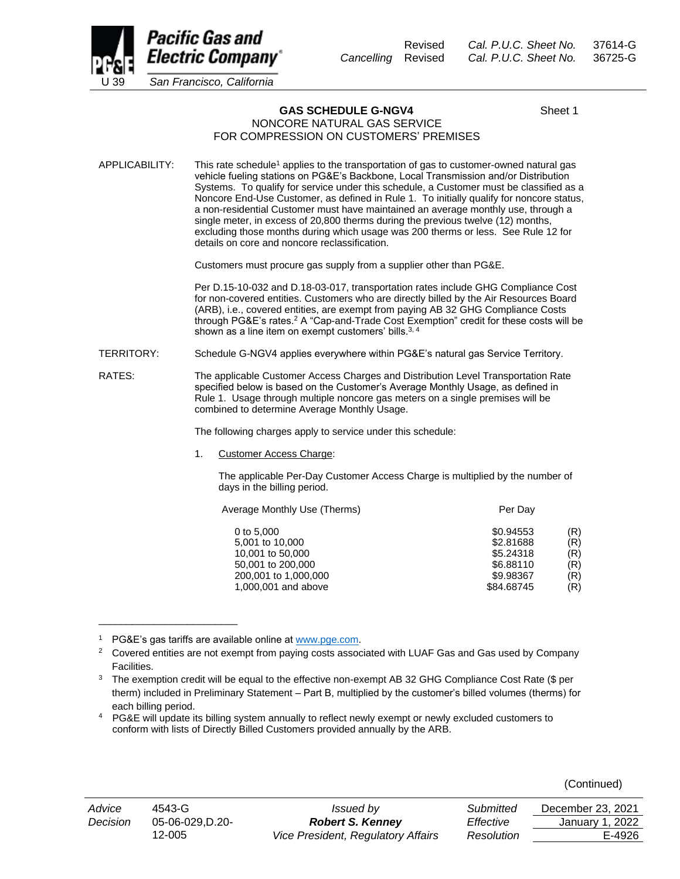

Revised *Cal. P.U.C. Sheet No.* 37614-G *Cancelling* Revised *Cal. P.U.C. Sheet No.* 36725-G

**GAS SCHEDULE G-NGV4** Sheet 1

## NONCORE NATURAL GAS SERVICE FOR COMPRESSION ON CUSTOMERS' PREMISES

APPLICABILITY: This rate schedule<sup>1</sup> applies to the transportation of gas to customer-owned natural gas vehicle fueling stations on PG&E's Backbone, Local Transmission and/or Distribution Systems. To qualify for service under this schedule, a Customer must be classified as a Noncore End-Use Customer, as defined in Rule 1. To initially qualify for noncore status, a non-residential Customer must have maintained an average monthly use, through a single meter, in excess of 20,800 therms during the previous twelve (12) months, excluding those months during which usage was 200 therms or less. See Rule 12 for details on core and noncore reclassification.

Customers must procure gas supply from a supplier other than PG&E.

Per D.15-10-032 and D.18-03-017, transportation rates include GHG Compliance Cost for non-covered entities. Customers who are directly billed by the Air Resources Board (ARB), i.e., covered entities, are exempt from paying AB 32 GHG Compliance Costs through PG&E's rates.<sup>2</sup> A "Cap-and-Trade Cost Exemption" credit for these costs will be shown as a line item on exempt customers' bills.<sup>3, 4</sup>

TERRITORY: Schedule G-NGV4 applies everywhere within PG&E's natural gas Service Territory.

RATES: The applicable Customer Access Charges and Distribution Level Transportation Rate specified below is based on the Customer's Average Monthly Usage, as defined in Rule 1. Usage through multiple noncore gas meters on a single premises will be combined to determine Average Monthly Usage.

The following charges apply to service under this schedule:

1. Customer Access Charge:

The applicable Per-Day Customer Access Charge is multiplied by the number of days in the billing period.

| Average Monthly Use (Therms) | Per Day    |     |  |
|------------------------------|------------|-----|--|
| 0 to 5,000                   | \$0.94553  | (R) |  |
| 5,001 to 10,000              | \$2,81688  | (R) |  |
| 10,001 to 50,000             | \$5.24318  | (R) |  |
| 50,001 to 200,000            | \$6.88110  | (R) |  |
| 200,001 to 1,000,000         | \$9.98367  | (R) |  |
| 1,000,001 and above          | \$84.68745 | (R) |  |
|                              |            |     |  |

PG&E's gas tariffs are available online at [www.pge.com.](http://www.pge.com/)

\_\_\_\_\_\_\_\_\_\_\_\_\_\_\_\_\_\_\_\_\_\_\_\_\_

|--|

| Advice   | 4543-G          | Issued by                          | Submitted  | December 23, 2021 |
|----------|-----------------|------------------------------------|------------|-------------------|
| Decision | 05-06-029.D.20- | <b>Robert S. Kenney</b>            | Effective  | January 1, 2022   |
|          | 12-005          | Vice President, Regulatory Affairs | Resolution | E-4926            |

<sup>&</sup>lt;sup>2</sup> Covered entities are not exempt from paying costs associated with LUAF Gas and Gas used by Company Facilities.

<sup>&</sup>lt;sup>3</sup> The exemption credit will be equal to the effective non-exempt AB 32 GHG Compliance Cost Rate (\$ per therm) included in Preliminary Statement – Part B, multiplied by the customer's billed volumes (therms) for each billing period.

<sup>4</sup> PG&E will update its billing system annually to reflect newly exempt or newly excluded customers to conform with lists of Directly Billed Customers provided annually by the ARB.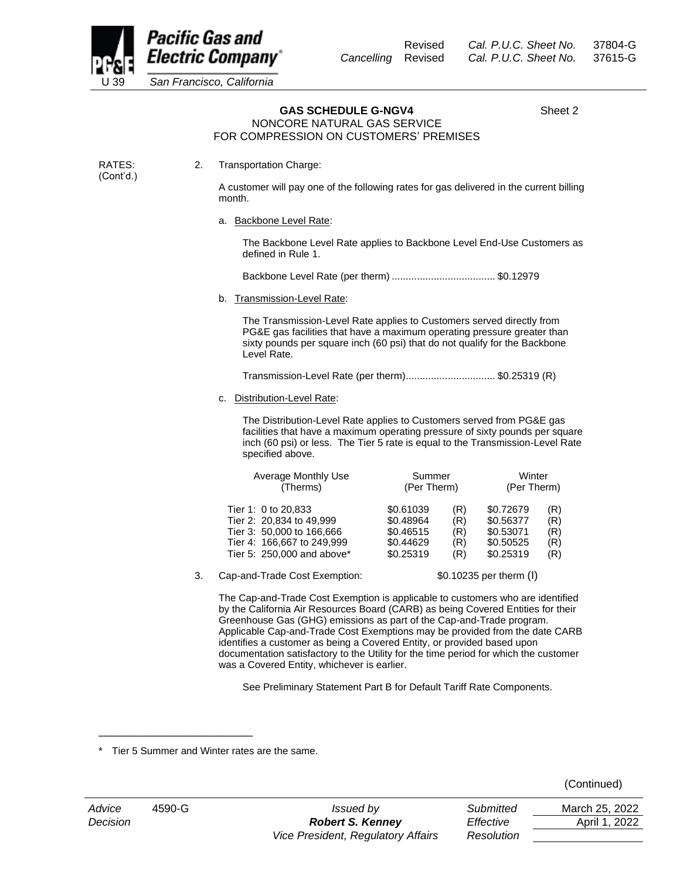

RATES: (Cont'd.)

## GAS SCHEDULE G-NGV4 Sheet 2

## NONCORE NATURAL GAS SERVICE FOR COMPRESSION ON CUSTOMERS' PREMISES

2. Transportation Charge:

A customer will pay one of the following rates for gas delivered in the current billing month.

a. Backbone Level Rate:

The Backbone Level Rate applies to Backbone Level End-Use Customers as defined in Rule 1.

Backbone Level Rate (per therm) ..................................... \$0.12979

b. Transmission-Level Rate:

The Transmission-Level Rate applies to Customers served directly from PG&E gas facilities that have a maximum operating pressure greater than sixty pounds per square inch (60 psi) that do not qualify for the Backbone Level Rate.

Transmission-Level Rate (per therm)................................ \$0.25319 (R)

c. Distribution-Level Rate:

The Distribution-Level Rate applies to Customers served from PG&E gas facilities that have a maximum operating pressure of sixty pounds per square inch (60 psi) or less. The Tier 5 rate is equal to the Transmission-Level Rate specified above.

| Average Monthly Use        | Summer      |     | Winter      |     |
|----------------------------|-------------|-----|-------------|-----|
| (Therms)                   | (Per Therm) |     | (Per Therm) |     |
| Tier 1: 0 to 20,833        | \$0.61039   | (R) | \$0.72679   | (R) |
| Tier 2: 20,834 to 49,999   | \$0.48964   | (R) | \$0.56377   | (R) |
| Tier 3: 50,000 to 166,666  | \$0.46515   | (R) | \$0.53071   | (R) |
| Tier 4: 166,667 to 249,999 | \$0.44629   | (R) | \$0.50525   | (R) |
| Tier 5: 250,000 and above* | \$0.25319   | (R) | \$0.25319   | (R) |

3. Cap-and-Trade Cost Exemption: \$0.10235 per therm (I)

The Cap-and-Trade Cost Exemption is applicable to customers who are identified by the California Air Resources Board (CARB) as being Covered Entities for their Greenhouse Gas (GHG) emissions as part of the Cap-and-Trade program. Applicable Cap-and-Trade Cost Exemptions may be provided from the date CARB identifies a customer as being a Covered Entity, or provided based upon documentation satisfactory to the Utility for the time period for which the customer was a Covered Entity, whichever is earlier.

See Preliminary Statement Part B for Default Tariff Rate Components.

\_\_\_\_\_\_\_\_\_\_\_\_\_\_\_\_\_\_\_\_\_\_\_\_\_

| (Continued) |  |  |
|-------------|--|--|
|-------------|--|--|

Tier 5 Summer and Winter rates are the same.